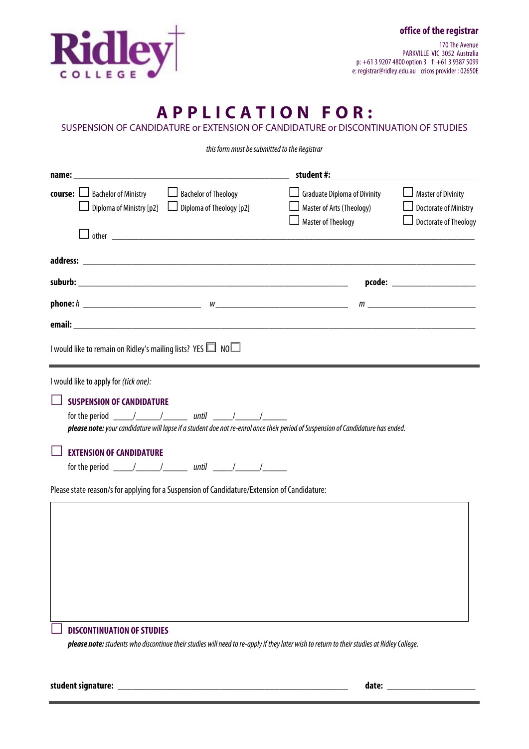

170 The Avenue PARKVILLE VIC 3052 Australia p: +61 3 9207 4800 option 3 f: +61 3 9387 5099 e: registrar@ridley.edu.au cricos provider : 02650E

## **A P P L I C A T I O N F O R :**

SUSPENSION OF CANDIDATURE or EXTENSION OF CANDIDATURE or DISCONTINUATION OF STUDIES

*this form must be submitted to the Registrar* 

|                                                                                                                                                                                 |                                                         | student #: www.astronometer.com                                                               |                                                                                           |  |
|---------------------------------------------------------------------------------------------------------------------------------------------------------------------------------|---------------------------------------------------------|-----------------------------------------------------------------------------------------------|-------------------------------------------------------------------------------------------|--|
| <b>course:</b> □ Bachelor of Ministry<br>Diploma of Ministry $[p2]$                                                                                                             | <b>Bachelor of Theology</b><br>Diploma of Theology [p2] | $\Box$ Graduate Diploma of Divinity<br>Master of Arts (Theology)<br><b>Master of Theology</b> | <b>Master of Divinity</b><br><b>Doctorate of Ministry</b><br>$\Box$ Doctorate of Theology |  |
|                                                                                                                                                                                 |                                                         |                                                                                               |                                                                                           |  |
|                                                                                                                                                                                 |                                                         |                                                                                               |                                                                                           |  |
|                                                                                                                                                                                 |                                                         |                                                                                               | pcode: ______________________                                                             |  |
|                                                                                                                                                                                 |                                                         |                                                                                               |                                                                                           |  |
|                                                                                                                                                                                 |                                                         |                                                                                               |                                                                                           |  |
| I would like to remain on Ridley's mailing lists? YES I NO                                                                                                                      |                                                         |                                                                                               |                                                                                           |  |
| I would like to apply for (tick one):                                                                                                                                           |                                                         |                                                                                               |                                                                                           |  |
| <b>SUSPENSION OF CANDIDATURE</b><br>please note: your candidature will lapse if a student doe not re-enrol once their period of Suspension of Candidature has ended.            |                                                         |                                                                                               |                                                                                           |  |
| <b>EXTENSION OF CANDIDATURE</b>                                                                                                                                                 |                                                         |                                                                                               |                                                                                           |  |
| Please state reason/s for applying for a Suspension of Candidature/Extension of Candidature:                                                                                    |                                                         |                                                                                               |                                                                                           |  |
|                                                                                                                                                                                 |                                                         |                                                                                               |                                                                                           |  |
| <b>DISCONTINUATION OF STUDIES</b><br>please note: students who discontinue their studies will need to re-apply if they later wish to return to their studies at Ridley College. |                                                         |                                                                                               |                                                                                           |  |
|                                                                                                                                                                                 |                                                         |                                                                                               |                                                                                           |  |

**student signature:** \_\_\_\_\_\_\_\_\_\_\_\_\_\_\_\_\_\_\_\_\_\_\_\_\_\_\_\_\_\_\_\_\_\_\_\_\_\_\_\_\_\_\_\_\_\_\_ **date:** \_\_\_\_\_\_\_\_\_\_\_\_\_\_\_\_\_\_